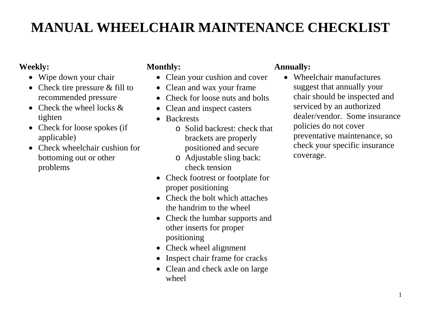# **MANUAL WHEELCHAIR MAINTENANCE CHECKLIST**

# **Weekly:**

- Wipe down your chair
- Check tire pressure & fill to recommended pressure
- Check the wheel locks  $\&$ tighten
- Check for loose spokes (if applicable)
- Check wheelchair cushion for bottoming out or other problems

# **Monthly:**

- Clean your cushion and cover
- Clean and wax your frame
- Check for loose nuts and bolts
- Clean and inspect casters
- Backrests
	- o Solid backrest: check that brackets are properly positioned and secure
	- o Adjustable sling back: check tension
- Check footrest or footplate for proper positioning
- Check the bolt which attaches the handrim to the wheel
- Check the lumbar supports and other inserts for proper positioning
- Check wheel alignment
- Inspect chair frame for cracks
- Clean and check axle on large wheel

# **Annually:**

• Wheelchair manufactures suggest that annually your chair should be inspected and serviced by an authorized dealer/vendor. Some insurance policies do not cover preventative maintenance, so check your specific insurance coverage.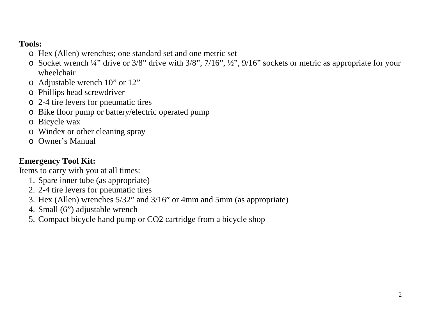## **Tools:**

- o Hex (Allen) wrenches; one standard set and one metric set
- o Socket wrench ¼" drive or 3/8" drive with 3/8", 7/16", ½", 9/16" sockets or metric as appropriate for your wheelchair
- o Adjustable wrench 10" or 12"
- o Phillips head screwdriver
- o 2-4 tire levers for pneumatic tires
- o Bike floor pump or battery/electric operated pump
- o Bicycle wax
- o Windex or other cleaning spray
- o Owner's Manual

## **Emergency Tool Kit:**

Items to carry with you at all times:

- 1. Spare inner tube (as appropriate)
- 2. 2-4 tire levers for pneumatic tires
- 3. Hex (Allen) wrenches 5/32" and 3/16" or 4mm and 5mm (as appropriate)
- 4. Small (6") adjustable wrench
- 5. Compact bicycle hand pump or CO2 cartridge from a bicycle shop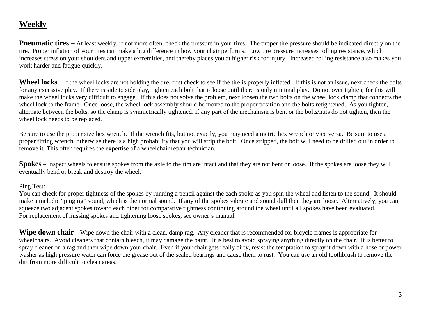## **Weekly**

**Pneumatic tires** – At least weekly, if not more often, check the pressure in your tires. The proper tire pressure should be indicated directly on the tire. Proper inflation of your tires can make a big difference in how your chair performs. Low tire pressure increases rolling resistance, which increases stress on your shoulders and upper extremities, and thereby places you at higher risk for injury. Increased rolling resistance also makes you work harder and fatigue quickly.

**Wheel locks** – If the wheel locks are not holding the tire, first check to see if the tire is properly inflated. If this is not an issue, next check the bolts for any excessive play. If there is side to side play, tighten each bolt that is loose until there is only minimal play. Do not over tighten, for this will make the wheel locks very difficult to engage. If this does not solve the problem, next loosen the two bolts on the wheel lock clamp that connects the wheel lock to the frame. Once loose, the wheel lock assembly should be moved to the proper position and the bolts retightened. As you tighten, alternate between the bolts, so the clamp is symmetrically tightened. If any part of the mechanism is bent or the bolts/nuts do not tighten, then the wheel lock needs to be replaced.

Be sure to use the proper size hex wrench. If the wrench fits, but not exactly, you may need a metric hex wrench or vice versa. Be sure to use a proper fitting wrench, otherwise there is a high probability that you will strip the bolt. Once stripped, the bolt will need to be drilled out in order to remove it. This often requires the expertise of a wheelchair repair technician.

**Spokes** – Inspect wheels to ensure spokes from the axle to the rim are intact and that they are not bent or loose. If the spokes are loose they will eventually bend or break and destroy the wheel.

#### Ping Test:

You can check for proper tightness of the spokes by running a pencil against the each spoke as you spin the wheel and listen to the sound. It should make a melodic "pinging" sound, which is the normal sound. If any of the spokes vibrate and sound dull then they are loose. Alternatively, you can squeeze two adjacent spokes toward each other for comparative tightness continuing around the wheel until all spokes have been evaluated. For replacement of missing spokes and tightening loose spokes, see owner's manual.

**Wipe down chair** – Wipe down the chair with a clean, damp rag. Any cleaner that is recommended for bicycle frames is appropriate for wheelchairs. Avoid cleaners that contain bleach, it may damage the paint. It is best to avoid spraying anything directly on the chair. It is better to spray cleaner on a rag and then wipe down your chair. Even if your chair gets really dirty, resist the temptation to spray it down with a hose or power washer as high pressure water can force the grease out of the sealed bearings and cause them to rust. You can use an old toothbrush to remove the dirt from more difficult to clean areas.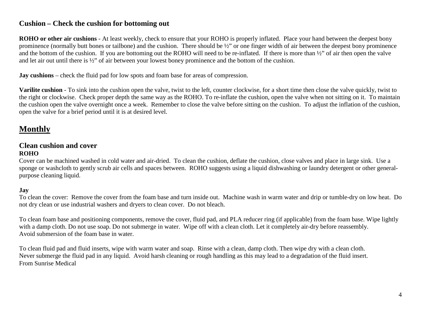#### **Cushion – Check the cushion for bottoming out**

**ROHO or other air cushions** - At least weekly, check to ensure that your ROHO is properly inflated. Place your hand between the deepest bony prominence (normally butt bones or tailbone) and the cushion. There should be ½" or one finger width of air between the deepest bony prominence and the bottom of the cushion. If you are bottoming out the ROHO will need to be re-inflated. If there is more than ½" of air then open the valve and let air out until there is ½" of air between your lowest boney prominence and the bottom of the cushion.

**Jay cushions** – check the fluid pad for low spots and foam base for areas of compression.

**Varilite cushion** - To sink into the cushion open the valve, twist to the left, counter clockwise, for a short time then close the valve quickly, twist to the right or clockwise. Check proper depth the same way as the ROHO. To re-inflate the cushion, open the valve when not sitting on it. To maintain the cushion open the valve overnight once a week. Remember to close the valve before sitting on the cushion. To adjust the inflation of the cushion, open the valve for a brief period until it is at desired level.

# **Monthly**

#### **Clean cushion and cover ROHO**

Cover can be machined washed in cold water and air-dried. To clean the cushion, deflate the cushion, close valves and place in large sink. Use a sponge or washcloth to gently scrub air cells and spaces between. ROHO suggests using a liquid dishwashing or laundry detergent or other generalpurpose cleaning liquid.

#### **Jay**

To clean the cover: Remove the cover from the foam base and turn inside out. Machine wash in warm water and drip or tumble-dry on low heat. Do not dry clean or use industrial washers and dryers to clean cover. Do not bleach.

To clean foam base and positioning components, remove the cover, fluid pad, and PLA reducer ring (if applicable) from the foam base. Wipe lightly with a damp cloth. Do not use soap. Do not submerge in water. Wipe off with a clean cloth. Let it completely air-dry before reassembly. Avoid submersion of the foam base in water.

To clean fluid pad and fluid inserts, wipe with warm water and soap. Rinse with a clean, damp cloth. Then wipe dry with a clean cloth. Never submerge the fluid pad in any liquid. Avoid harsh cleaning or rough handling as this may lead to a degradation of the fluid insert. From Sunrise Medical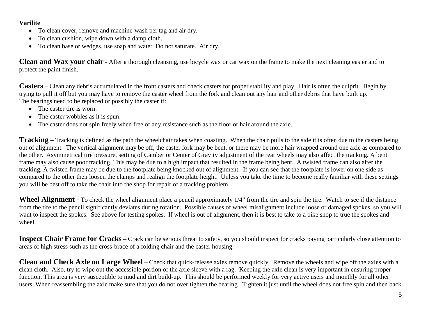#### **Varilite**

- To clean cover, remove and machine-wash per tag and air dry.
- To clean cushion, wipe down with a damp cloth.
- To clean base or wedges, use soap and water. Do not saturate. Air dry.

**Clean and Wax your chair** - After a thorough cleansing, use bicycle wax or car wax on the frame to make the next cleaning easier and to protect the paint finish.

**Casters** – Clean any debris accumulated in the front casters and check casters for proper stability and play. Hair is often the culprit. Begin by trying to pull it off but you may have to remove the caster wheel from the fork and clean out any hair and other debris that have built up. The bearings need to be replaced or possibly the caster if:

- The caster tire is worn.
- The caster wobbles as it is spun.
- The caster does not spin freely when free of any resistance such as the floor or hair around the axle.

**Tracking** – Tracking is defined as the path the wheelchair takes when coasting. When the chair pulls to the side it is often due to the casters being out of alignment. The vertical alignment may be off, the caster fork may be bent, or there may be more hair wrapped around one axle as compared to the other. Asymmetrical tire pressure, setting of Camber or Center of Gravity adjustment of the rear wheels may also affect the tracking. A bent frame may also cause poor tracking. This may be due to a high impact that resulted in the frame being bent. A twisted frame can also alter the tracking. A twisted frame may be due to the footplate being knocked out of alignment. If you can see that the footplate is lower on one side as compared to the other then loosen the clamps and realign the footplate height. Unless you take the time to become really familiar with these settings you will be best off to take the chair into the shop for repair of a tracking problem.

**Wheel Alignment** - To check the wheel alignment place a pencil approximately 1/4" from the tire and spin the tire. Watch to see if the distance from the tire to the pencil significantly deviates during rotation. Possible causes of wheel misalignment include loose or damaged spokes, so you will want to inspect the spokes. See above for testing spokes. If wheel is out of alignment, then it is best to take to a bike shop to true the spokes and wheel.

**Inspect Chair Frame for Cracks** – Crack can be serious threat to safety, so you should inspect for cracks paying particularly close attention to areas of high stress such as the cross-brace of a folding chair and the caster housing.

**Clean and Check Axle on Large Wheel** – Check that quick-release axles remove quickly. Remove the wheels and wipe off the axles with a clean cloth. Also, try to wipe out the accessible portion of the axle sleeve with a rag. Keeping the axle clean is very important in ensuring proper function. This area is very susceptible to mud and dirt build-up. This should be performed weekly for very active users and monthly for all other users. When reassembling the axle make sure that you do not over tighten the bearing. Tighten it just until the wheel does not free spin and then back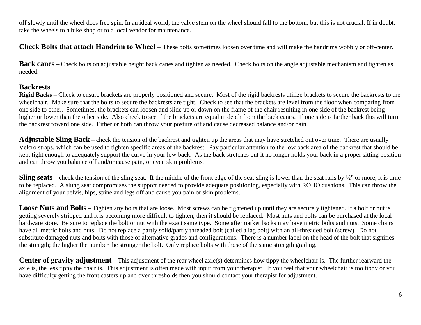off slowly until the wheel does free spin. In an ideal world, the valve stem on the wheel should fall to the bottom, but this is not crucial. If in doubt, take the wheels to a bike shop or to a local vendor for maintenance.

**Check Bolts that attach Handrim to Wheel –** These bolts sometimes loosen over time and will make the handrims wobbly or off-center.

**Back canes** – Check bolts on adjustable height back canes and tighten as needed. Check bolts on the angle adjustable mechanism and tighten as needed.

#### **Backrests**

**Rigid Backs** – Check to ensure brackets are properly positioned and secure. Most of the rigid backrests utilize brackets to secure the backrests to the wheelchair. Make sure that the bolts to secure the backrests are tight. Check to see that the brackets are level from the floor when comparing from one side to other. Sometimes, the brackets can loosen and slide up or down on the frame of the chair resulting in one side of the backrest being higher or lower than the other side. Also check to see if the brackets are equal in depth from the back canes. If one side is farther back this will turn the backrest toward one side. Either or both can throw your posture off and cause decreased balance and/or pain.

**Adjustable Sling Back** – check the tension of the backrest and tighten up the areas that may have stretched out over time. There are usually Velcro straps, which can be used to tighten specific areas of the backrest. Pay particular attention to the low back area of the backrest that should be kept tight enough to adequately support the curve in your low back. As the back stretches out it no longer holds your back in a proper sitting position and can throw you balance off and/or cause pain, or even skin problems.

**Sling seats** – check the tension of the sling seat. If the middle of the front edge of the seat sling is lower than the seat rails by  $\frac{1}{2}$  or more, it is time to be replaced. A slung seat compromises the support needed to provide adequate positioning, especially with ROHO cushions. This can throw the alignment of your pelvis, hips, spine and legs off and cause you pain or skin problems.

**Loose Nuts and Bolts** – Tighten any bolts that are loose. Most screws can be tightened up until they are securely tightened. If a bolt or nut is getting severely stripped and it is becoming more difficult to tighten, then it should be replaced. Most nuts and bolts can be purchased at the local hardware store. Be sure to replace the bolt or nut with the exact same type. Some aftermarket backs may have metric bolts and nuts. Some chairs have all metric bolts and nuts. Do not replace a partly solid/partly threaded bolt (called a lag bolt) with an all-threaded bolt (screw). Do not substitute damaged nuts and bolts with those of alternative grades and configurations. There is a number label on the head of the bolt that signifies the strength; the higher the number the stronger the bolt. Only replace bolts with those of the same strength grading.

**Center of gravity adjustment** – This adjustment of the rear wheel axle(s) determines how tippy the wheelchair is. The further rearward the axle is, the less tippy the chair is. This adjustment is often made with input from your therapist. If you feel that your wheelchair is too tippy or you have difficulty getting the front casters up and over thresholds then you should contact your therapist for adjustment.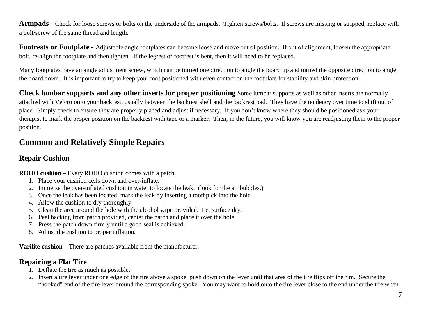**Armpads** - Check for loose screws or bolts on the underside of the armpads. Tighten screws/bolts. If screws are missing or stripped, replace with a bolt/screw of the same thread and length.

**Footrests or Footplate** - Adjustable angle footplates can become loose and move out of position. If out of alignment, loosen the appropriate bolt, re-align the footplate and then tighten. If the legrest or footrest is bent, then it will need to be replaced.

Many footplates have an angle adjustment screw, which can be turned one direction to angle the board up and turned the opposite direction to angle the board down. It is important to try to keep your foot positioned with even contact on the footplate for stability and skin protection.

**Check lumbar supports and any other inserts for proper positioning** Some lumbar supports as well as other inserts are normally attached with Velcro onto your backrest, usually between the backrest shell and the backrest pad. They have the tendency over time to shift out of place. Simply check to ensure they are properly placed and adjust if necessary. If you don't know where they should be positioned ask your therapist to mark the proper position on the backrest with tape or a marker. Then, in the future, you will know you are readjusting them to the proper position.

# **Common and Relatively Simple Repairs**

#### **Repair Cushion**

**ROHO cushion** – Every ROHO cushion comes with a patch.

- 1. Place your cushion cells down and over-inflate.
- 2. Immerse the over-inflated cushion in water to locate the leak. (look for the air bubbles.)
- 3. Once the leak has been located, mark the leak by inserting a toothpick into the hole.
- 4. Allow the cushion to dry thoroughly.
- 5. Clean the area around the hole with the alcohol wipe provided. Let surface dry.
- 6. Peel backing from patch provided, center the patch and place it over the hole.
- 7. Press the patch down firmly until a good seal is achieved.
- 8. Adjust the cushion to proper inflation.

**Varilite cushion** – There are patches available from the manufacturer.

### **Repairing a Flat Tire**

- 1. Deflate the tire as much as possible.
- 2. Insert a tire lever under one edge of the tire above a spoke, push down on the lever until that area of the tire flips off the rim. Secure the "hooked" end of the tire lever around the corresponding spoke. You may want to hold onto the tire lever close to the end under the tire when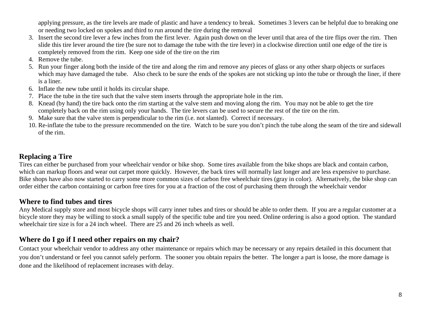applying pressure, as the tire levels are made of plastic and have a tendency to break. Sometimes 3 levers can be helpful due to breaking one or needing two locked on spokes and third to run around the tire during the removal

- 3. Insert the second tire lever a few inches from the first lever. Again push down on the lever until that area of the tire flips over the rim. Then slide this tire lever around the tire (be sure not to damage the tube with the tire lever) in a clockwise direction until one edge of the tire is completely removed from the rim. Keep one side of the tire on the rim
- 4. Remove the tube.
- 5. Run your finger along both the inside of the tire and along the rim and remove any pieces of glass or any other sharp objects or surfaces which may have damaged the tube. Also check to be sure the ends of the spokes are not sticking up into the tube or through the liner, if there is a liner.
- 6. Inflate the new tube until it holds its circular shape.
- 7. Place the tube in the tire such that the valve stem inserts through the appropriate hole in the rim.
- 8. Knead (by hand) the tire back onto the rim starting at the valve stem and moving along the rim. You may not be able to get the tire completely back on the rim using only your hands. The tire levers can be used to secure the rest of the tire on the rim.
- 9. Make sure that the valve stem is perpendicular to the rim (i.e. not slanted). Correct if necessary.
- 10. Re-inflate the tube to the pressure recommended on the tire. Watch to be sure you don't pinch the tube along the seam of the tire and sidewall of the rim.

### **Replacing a Tire**

Tires can either be purchased from your wheelchair vendor or bike shop. Some tires available from the bike shops are black and contain carbon, which can markup floors and wear out carpet more quickly. However, the back tires will normally last longer and are less expensive to purchase. Bike shops have also now started to carry some more common sizes of carbon free wheelchair tires (gray in color). Alternatively, the bike shop can order either the carbon containing or carbon free tires for you at a fraction of the cost of purchasing them through the wheelchair vendor

#### **Where to find tubes and tires**

Any Medical supply store and most bicycle shops will carry inner tubes and tires or should be able to order them. If you are a regular customer at a bicycle store they may be willing to stock a small supply of the specific tube and tire you need. Online ordering is also a good option. The standard wheelchair tire size is for a 24 inch wheel. There are 25 and 26 inch wheels as well.

#### **Where do I go if I need other repairs on my chair?**

Contact your wheelchair vendor to address any other maintenance or repairs which may be necessary or any repairs detailed in this document that you don't understand or feel you cannot safely perform. The sooner you obtain repairs the better. The longer a part is loose, the more damage is done and the likelihood of replacement increases with delay.